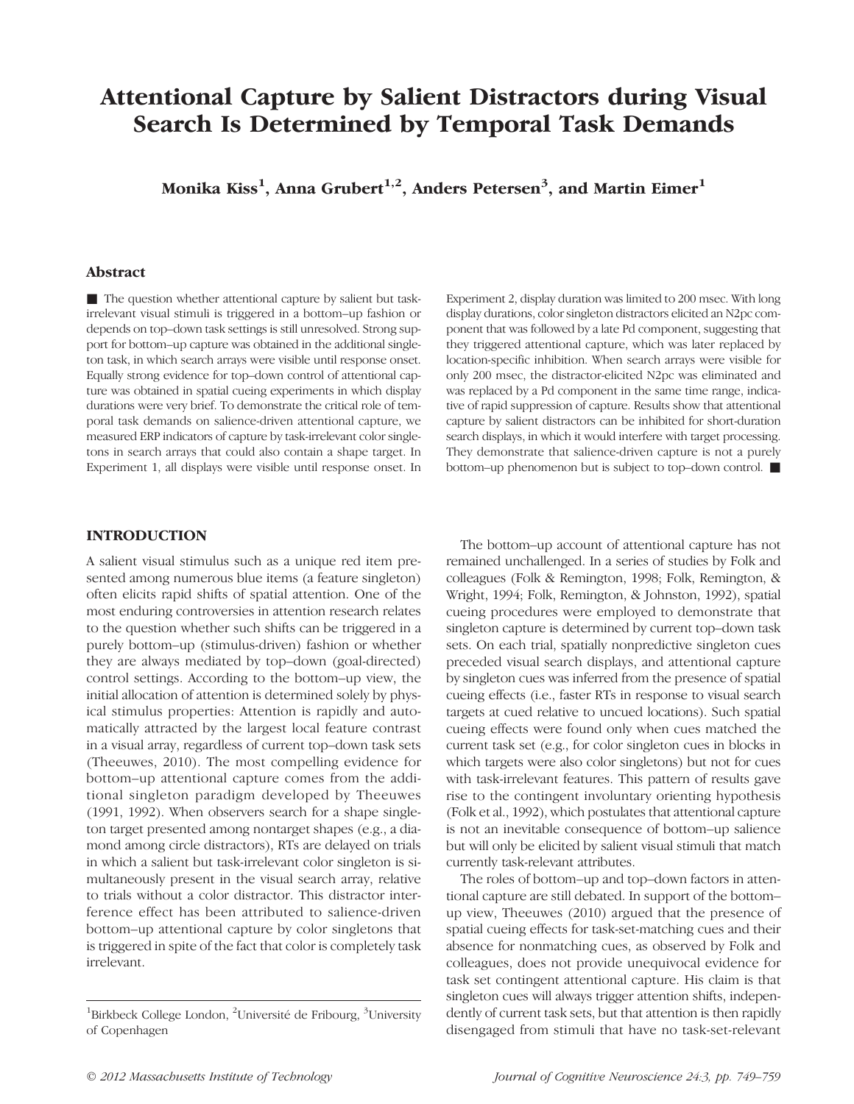# Attentional Capture by Salient Distractors during Visual Search Is Determined by Temporal Task Demands

Monika Kiss $^1$ , Anna Grubert $^{1,2}$ , Anders Petersen $^3$ , and Martin Eimer $^1$ 

#### Abstract

■ The question whether attentional capture by salient but taskirrelevant visual stimuli is triggered in a bottom–up fashion or depends on top–down task settings is still unresolved. Strong support for bottom–up capture was obtained in the additional singleton task, in which search arrays were visible until response onset. Equally strong evidence for top–down control of attentional capture was obtained in spatial cueing experiments in which display durations were very brief. To demonstrate the critical role of temporal task demands on salience-driven attentional capture, we measured ERP indicators of capture by task-irrelevant color singletons in search arrays that could also contain a shape target. In Experiment 1, all displays were visible until response onset. In

Experiment 2, display duration was limited to 200 msec. With long display durations, color singleton distractors elicited an N2pc component that was followed by a late Pd component, suggesting that they triggered attentional capture, which was later replaced by location-specific inhibition. When search arrays were visible for only 200 msec, the distractor-elicited N2pc was eliminated and was replaced by a Pd component in the same time range, indicative of rapid suppression of capture. Results show that attentional capture by salient distractors can be inhibited for short-duration search displays, in which it would interfere with target processing. They demonstrate that salience-driven capture is not a purely bottom–up phenomenon but is subject to top–down control. ■

# INTRODUCTION

A salient visual stimulus such as a unique red item presented among numerous blue items (a feature singleton) often elicits rapid shifts of spatial attention. One of the most enduring controversies in attention research relates to the question whether such shifts can be triggered in a purely bottom–up (stimulus-driven) fashion or whether they are always mediated by top–down (goal-directed) control settings. According to the bottom–up view, the initial allocation of attention is determined solely by physical stimulus properties: Attention is rapidly and automatically attracted by the largest local feature contrast in a visual array, regardless of current top–down task sets (Theeuwes, 2010). The most compelling evidence for bottom–up attentional capture comes from the additional singleton paradigm developed by Theeuwes (1991, 1992). When observers search for a shape singleton target presented among nontarget shapes (e.g., a diamond among circle distractors), RTs are delayed on trials in which a salient but task-irrelevant color singleton is simultaneously present in the visual search array, relative to trials without a color distractor. This distractor interference effect has been attributed to salience-driven bottom–up attentional capture by color singletons that is triggered in spite of the fact that color is completely task irrelevant.

The bottom–up account of attentional capture has not remained unchallenged. In a series of studies by Folk and colleagues (Folk & Remington, 1998; Folk, Remington, & Wright, 1994; Folk, Remington, & Johnston, 1992), spatial cueing procedures were employed to demonstrate that singleton capture is determined by current top–down task sets. On each trial, spatially nonpredictive singleton cues preceded visual search displays, and attentional capture by singleton cues was inferred from the presence of spatial cueing effects (i.e., faster RTs in response to visual search targets at cued relative to uncued locations). Such spatial cueing effects were found only when cues matched the current task set (e.g., for color singleton cues in blocks in which targets were also color singletons) but not for cues with task-irrelevant features. This pattern of results gave rise to the contingent involuntary orienting hypothesis (Folk et al., 1992), which postulates that attentional capture is not an inevitable consequence of bottom–up salience but will only be elicited by salient visual stimuli that match currently task-relevant attributes.

The roles of bottom–up and top–down factors in attentional capture are still debated. In support of the bottom– up view, Theeuwes (2010) argued that the presence of spatial cueing effects for task-set-matching cues and their absence for nonmatching cues, as observed by Folk and colleagues, does not provide unequivocal evidence for task set contingent attentional capture. His claim is that singleton cues will always trigger attention shifts, independently of current task sets, but that attention is then rapidly disengaged from stimuli that have no task-set-relevant

<sup>&</sup>lt;sup>1</sup>Birkbeck College London, <sup>2</sup>Université de Fribourg, <sup>3</sup>University of Copenhagen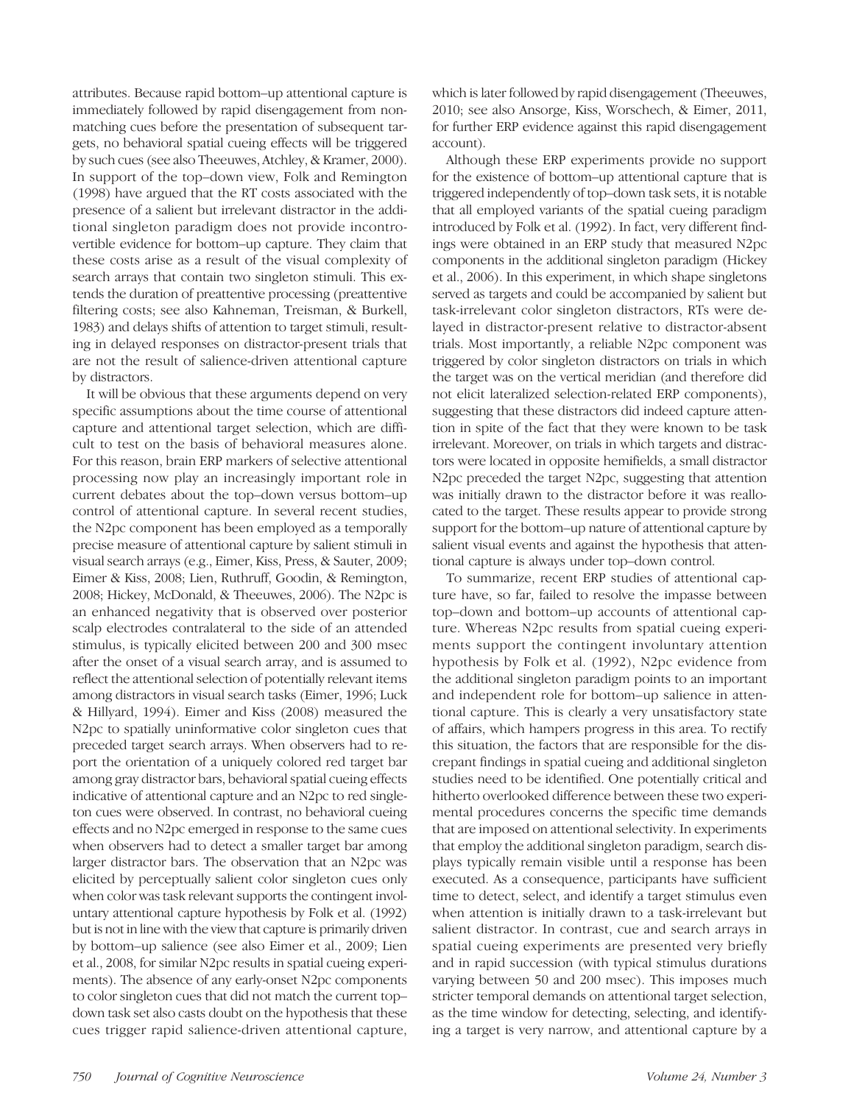attributes. Because rapid bottom–up attentional capture is immediately followed by rapid disengagement from nonmatching cues before the presentation of subsequent targets, no behavioral spatial cueing effects will be triggered by such cues (see also Theeuwes, Atchley, & Kramer, 2000). In support of the top–down view, Folk and Remington (1998) have argued that the RT costs associated with the presence of a salient but irrelevant distractor in the additional singleton paradigm does not provide incontrovertible evidence for bottom–up capture. They claim that these costs arise as a result of the visual complexity of search arrays that contain two singleton stimuli. This extends the duration of preattentive processing (preattentive filtering costs; see also Kahneman, Treisman, & Burkell, 1983) and delays shifts of attention to target stimuli, resulting in delayed responses on distractor-present trials that are not the result of salience-driven attentional capture by distractors.

It will be obvious that these arguments depend on very specific assumptions about the time course of attentional capture and attentional target selection, which are difficult to test on the basis of behavioral measures alone. For this reason, brain ERP markers of selective attentional processing now play an increasingly important role in current debates about the top–down versus bottom–up control of attentional capture. In several recent studies, the N2pc component has been employed as a temporally precise measure of attentional capture by salient stimuli in visual search arrays (e.g., Eimer, Kiss, Press, & Sauter, 2009; Eimer & Kiss, 2008; Lien, Ruthruff, Goodin, & Remington, 2008; Hickey, McDonald, & Theeuwes, 2006). The N2pc is an enhanced negativity that is observed over posterior scalp electrodes contralateral to the side of an attended stimulus, is typically elicited between 200 and 300 msec after the onset of a visual search array, and is assumed to reflect the attentional selection of potentially relevant items among distractors in visual search tasks (Eimer, 1996; Luck & Hillyard, 1994). Eimer and Kiss (2008) measured the N2pc to spatially uninformative color singleton cues that preceded target search arrays. When observers had to report the orientation of a uniquely colored red target bar among gray distractor bars, behavioral spatial cueing effects indicative of attentional capture and an N2pc to red singleton cues were observed. In contrast, no behavioral cueing effects and no N2pc emerged in response to the same cues when observers had to detect a smaller target bar among larger distractor bars. The observation that an N2pc was elicited by perceptually salient color singleton cues only when color was task relevant supports the contingent involuntary attentional capture hypothesis by Folk et al. (1992) but is not in line with the view that capture is primarily driven by bottom–up salience (see also Eimer et al., 2009; Lien et al., 2008, for similar N2pc results in spatial cueing experiments). The absence of any early-onset N2pc components to color singleton cues that did not match the current top– down task set also casts doubt on the hypothesis that these cues trigger rapid salience-driven attentional capture, which is later followed by rapid disengagement (Theeuwes, 2010; see also Ansorge, Kiss, Worschech, & Eimer, 2011, for further ERP evidence against this rapid disengagement account).

Although these ERP experiments provide no support for the existence of bottom–up attentional capture that is triggered independently of top–down task sets, it is notable that all employed variants of the spatial cueing paradigm introduced by Folk et al. (1992). In fact, very different findings were obtained in an ERP study that measured N2pc components in the additional singleton paradigm (Hickey et al., 2006). In this experiment, in which shape singletons served as targets and could be accompanied by salient but task-irrelevant color singleton distractors, RTs were delayed in distractor-present relative to distractor-absent trials. Most importantly, a reliable N2pc component was triggered by color singleton distractors on trials in which the target was on the vertical meridian (and therefore did not elicit lateralized selection-related ERP components), suggesting that these distractors did indeed capture attention in spite of the fact that they were known to be task irrelevant. Moreover, on trials in which targets and distractors were located in opposite hemifields, a small distractor N2pc preceded the target N2pc, suggesting that attention was initially drawn to the distractor before it was reallocated to the target. These results appear to provide strong support for the bottom–up nature of attentional capture by salient visual events and against the hypothesis that attentional capture is always under top–down control.

To summarize, recent ERP studies of attentional capture have, so far, failed to resolve the impasse between top–down and bottom–up accounts of attentional capture. Whereas N2pc results from spatial cueing experiments support the contingent involuntary attention hypothesis by Folk et al. (1992), N2pc evidence from the additional singleton paradigm points to an important and independent role for bottom–up salience in attentional capture. This is clearly a very unsatisfactory state of affairs, which hampers progress in this area. To rectify this situation, the factors that are responsible for the discrepant findings in spatial cueing and additional singleton studies need to be identified. One potentially critical and hitherto overlooked difference between these two experimental procedures concerns the specific time demands that are imposed on attentional selectivity. In experiments that employ the additional singleton paradigm, search displays typically remain visible until a response has been executed. As a consequence, participants have sufficient time to detect, select, and identify a target stimulus even when attention is initially drawn to a task-irrelevant but salient distractor. In contrast, cue and search arrays in spatial cueing experiments are presented very briefly and in rapid succession (with typical stimulus durations varying between 50 and 200 msec). This imposes much stricter temporal demands on attentional target selection, as the time window for detecting, selecting, and identifying a target is very narrow, and attentional capture by a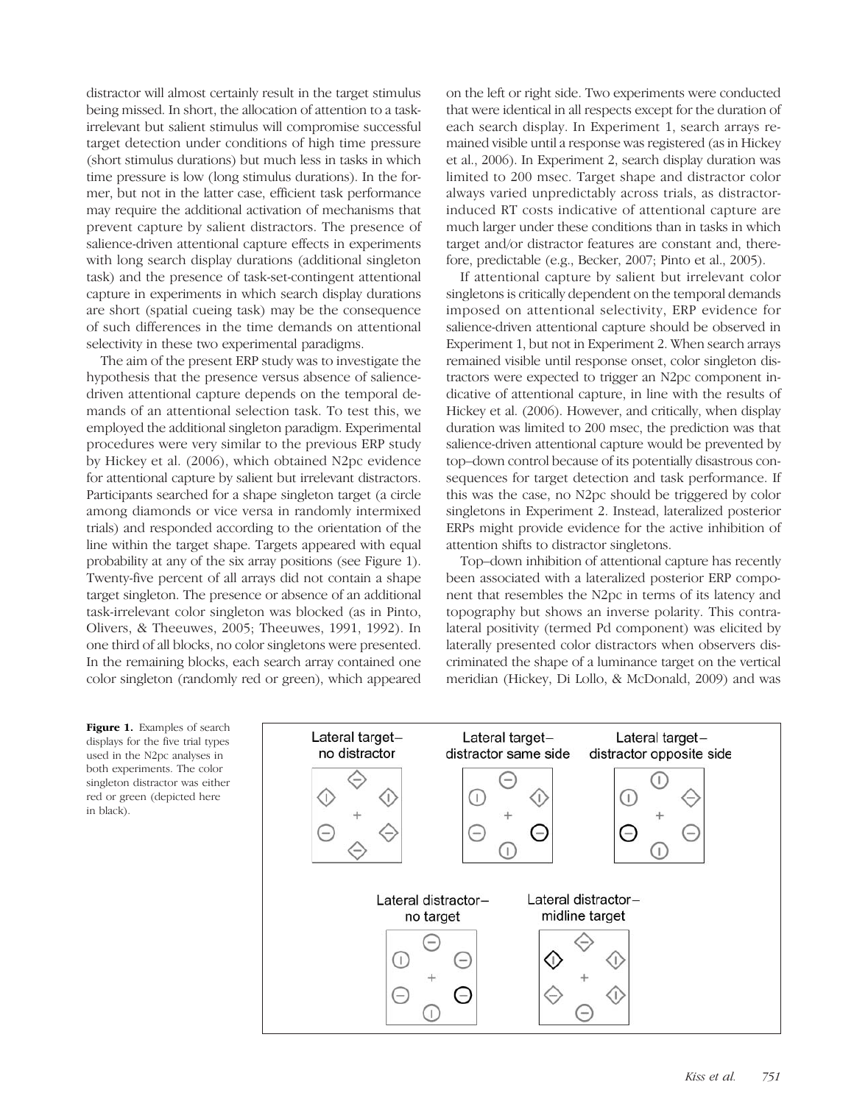distractor will almost certainly result in the target stimulus being missed. In short, the allocation of attention to a taskirrelevant but salient stimulus will compromise successful target detection under conditions of high time pressure (short stimulus durations) but much less in tasks in which time pressure is low (long stimulus durations). In the former, but not in the latter case, efficient task performance may require the additional activation of mechanisms that prevent capture by salient distractors. The presence of salience-driven attentional capture effects in experiments with long search display durations (additional singleton task) and the presence of task-set-contingent attentional capture in experiments in which search display durations are short (spatial cueing task) may be the consequence of such differences in the time demands on attentional selectivity in these two experimental paradigms.

The aim of the present ERP study was to investigate the hypothesis that the presence versus absence of saliencedriven attentional capture depends on the temporal demands of an attentional selection task. To test this, we employed the additional singleton paradigm. Experimental procedures were very similar to the previous ERP study by Hickey et al. (2006), which obtained N2pc evidence for attentional capture by salient but irrelevant distractors. Participants searched for a shape singleton target (a circle among diamonds or vice versa in randomly intermixed trials) and responded according to the orientation of the line within the target shape. Targets appeared with equal probability at any of the six array positions (see Figure 1). Twenty-five percent of all arrays did not contain a shape target singleton. The presence or absence of an additional task-irrelevant color singleton was blocked (as in Pinto, Olivers, & Theeuwes, 2005; Theeuwes, 1991, 1992). In one third of all blocks, no color singletons were presented. In the remaining blocks, each search array contained one color singleton (randomly red or green), which appeared

on the left or right side. Two experiments were conducted that were identical in all respects except for the duration of each search display. In Experiment 1, search arrays remained visible until a response was registered (as in Hickey et al., 2006). In Experiment 2, search display duration was limited to 200 msec. Target shape and distractor color always varied unpredictably across trials, as distractorinduced RT costs indicative of attentional capture are much larger under these conditions than in tasks in which target and/or distractor features are constant and, therefore, predictable (e.g., Becker, 2007; Pinto et al., 2005).

If attentional capture by salient but irrelevant color singletons is critically dependent on the temporal demands imposed on attentional selectivity, ERP evidence for salience-driven attentional capture should be observed in Experiment 1, but not in Experiment 2. When search arrays remained visible until response onset, color singleton distractors were expected to trigger an N2pc component indicative of attentional capture, in line with the results of Hickey et al. (2006). However, and critically, when display duration was limited to 200 msec, the prediction was that salience-driven attentional capture would be prevented by top–down control because of its potentially disastrous consequences for target detection and task performance. If this was the case, no N2pc should be triggered by color singletons in Experiment 2. Instead, lateralized posterior ERPs might provide evidence for the active inhibition of attention shifts to distractor singletons.

Top–down inhibition of attentional capture has recently been associated with a lateralized posterior ERP component that resembles the N2pc in terms of its latency and topography but shows an inverse polarity. This contralateral positivity (termed Pd component) was elicited by laterally presented color distractors when observers discriminated the shape of a luminance target on the vertical meridian (Hickey, Di Lollo, & McDonald, 2009) and was

Figure 1. Examples of search displays for the five trial types used in the N2pc analyses in both experiments. The color singleton distractor was either red or green (depicted here in black).

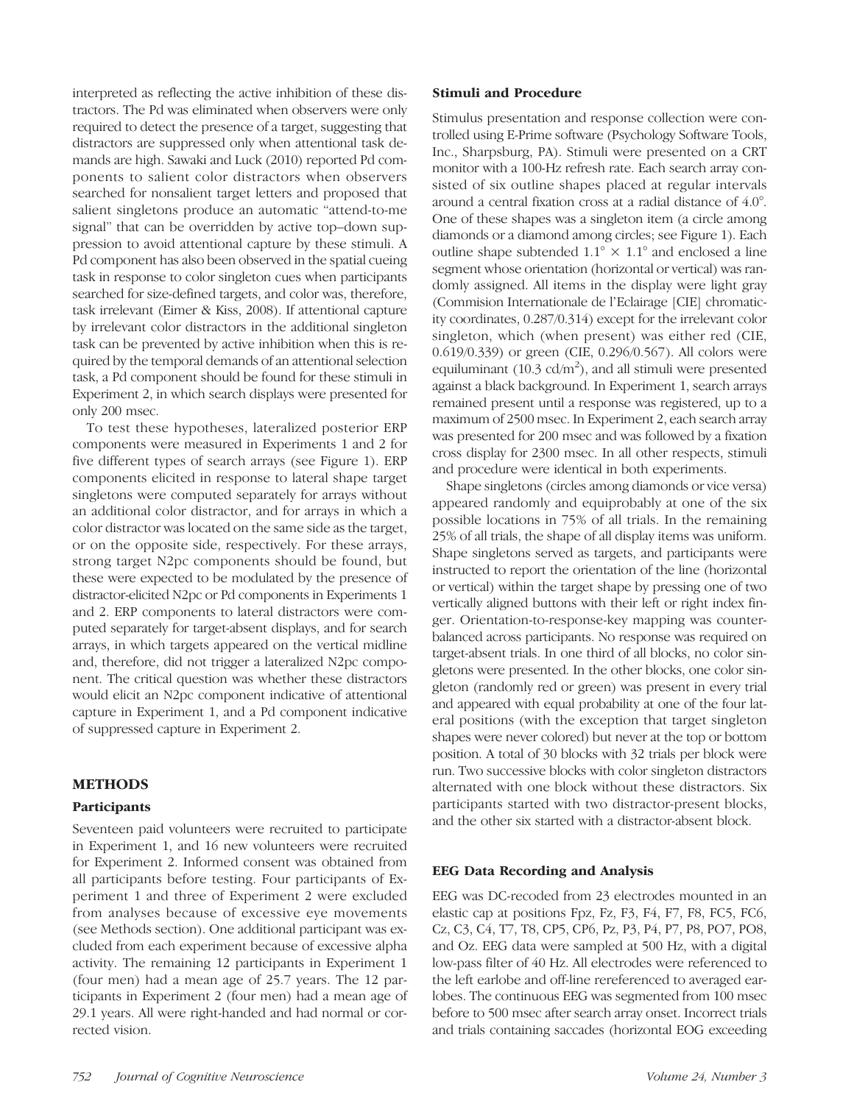interpreted as reflecting the active inhibition of these distractors. The Pd was eliminated when observers were only required to detect the presence of a target, suggesting that distractors are suppressed only when attentional task demands are high. Sawaki and Luck (2010) reported Pd components to salient color distractors when observers searched for nonsalient target letters and proposed that salient singletons produce an automatic "attend-to-me signal" that can be overridden by active top–down suppression to avoid attentional capture by these stimuli. A Pd component has also been observed in the spatial cueing task in response to color singleton cues when participants searched for size-defined targets, and color was, therefore, task irrelevant (Eimer & Kiss, 2008). If attentional capture by irrelevant color distractors in the additional singleton task can be prevented by active inhibition when this is required by the temporal demands of an attentional selection task, a Pd component should be found for these stimuli in Experiment 2, in which search displays were presented for only 200 msec.

To test these hypotheses, lateralized posterior ERP components were measured in Experiments 1 and 2 for five different types of search arrays (see Figure 1). ERP components elicited in response to lateral shape target singletons were computed separately for arrays without an additional color distractor, and for arrays in which a color distractor was located on the same side as the target, or on the opposite side, respectively. For these arrays, strong target N2pc components should be found, but these were expected to be modulated by the presence of distractor-elicited N2pc or Pd components in Experiments 1 and 2. ERP components to lateral distractors were computed separately for target-absent displays, and for search arrays, in which targets appeared on the vertical midline and, therefore, did not trigger a lateralized N2pc component. The critical question was whether these distractors would elicit an N2pc component indicative of attentional capture in Experiment 1, and a Pd component indicative of suppressed capture in Experiment 2.

# METHODS

# **Participants**

Seventeen paid volunteers were recruited to participate in Experiment 1, and 16 new volunteers were recruited for Experiment 2. Informed consent was obtained from all participants before testing. Four participants of Experiment 1 and three of Experiment 2 were excluded from analyses because of excessive eye movements (see Methods section). One additional participant was excluded from each experiment because of excessive alpha activity. The remaining 12 participants in Experiment 1 (four men) had a mean age of 25.7 years. The 12 participants in Experiment 2 (four men) had a mean age of 29.1 years. All were right-handed and had normal or corrected vision.

## Stimuli and Procedure

Stimulus presentation and response collection were controlled using E-Prime software (Psychology Software Tools, Inc., Sharpsburg, PA). Stimuli were presented on a CRT monitor with a 100-Hz refresh rate. Each search array consisted of six outline shapes placed at regular intervals around a central fixation cross at a radial distance of 4.0°. One of these shapes was a singleton item (a circle among diamonds or a diamond among circles; see Figure 1). Each outline shape subtended  $1.1^\circ \times 1.1^\circ$  and enclosed a line segment whose orientation (horizontal or vertical) was randomly assigned. All items in the display were light gray (Commision Internationale de l'Eclairage [CIE] chromaticity coordinates, 0.287/0.314) except for the irrelevant color singleton, which (when present) was either red (CIE, 0.619/0.339) or green (CIE, 0.296/0.567). All colors were equiluminant (10.3 cd/m<sup>2</sup>), and all stimuli were presented against a black background. In Experiment 1, search arrays remained present until a response was registered, up to a maximum of 2500 msec. In Experiment 2, each search array was presented for 200 msec and was followed by a fixation cross display for 2300 msec. In all other respects, stimuli and procedure were identical in both experiments.

Shape singletons (circles among diamonds or vice versa) appeared randomly and equiprobably at one of the six possible locations in 75% of all trials. In the remaining 25% of all trials, the shape of all display items was uniform. Shape singletons served as targets, and participants were instructed to report the orientation of the line (horizontal or vertical) within the target shape by pressing one of two vertically aligned buttons with their left or right index finger. Orientation-to-response-key mapping was counterbalanced across participants. No response was required on target-absent trials. In one third of all blocks, no color singletons were presented. In the other blocks, one color singleton (randomly red or green) was present in every trial and appeared with equal probability at one of the four lateral positions (with the exception that target singleton shapes were never colored) but never at the top or bottom position. A total of 30 blocks with 32 trials per block were run. Two successive blocks with color singleton distractors alternated with one block without these distractors. Six participants started with two distractor-present blocks, and the other six started with a distractor-absent block.

# EEG Data Recording and Analysis

EEG was DC-recoded from 23 electrodes mounted in an elastic cap at positions Fpz, Fz, F3, F4, F7, F8, FC5, FC6, Cz, C3, C4, T7, T8, CP5, CP6, Pz, P3, P4, P7, P8, PO7, PO8, and Oz. EEG data were sampled at 500 Hz, with a digital low-pass filter of 40 Hz. All electrodes were referenced to the left earlobe and off-line rereferenced to averaged earlobes. The continuous EEG was segmented from 100 msec before to 500 msec after search array onset. Incorrect trials and trials containing saccades (horizontal EOG exceeding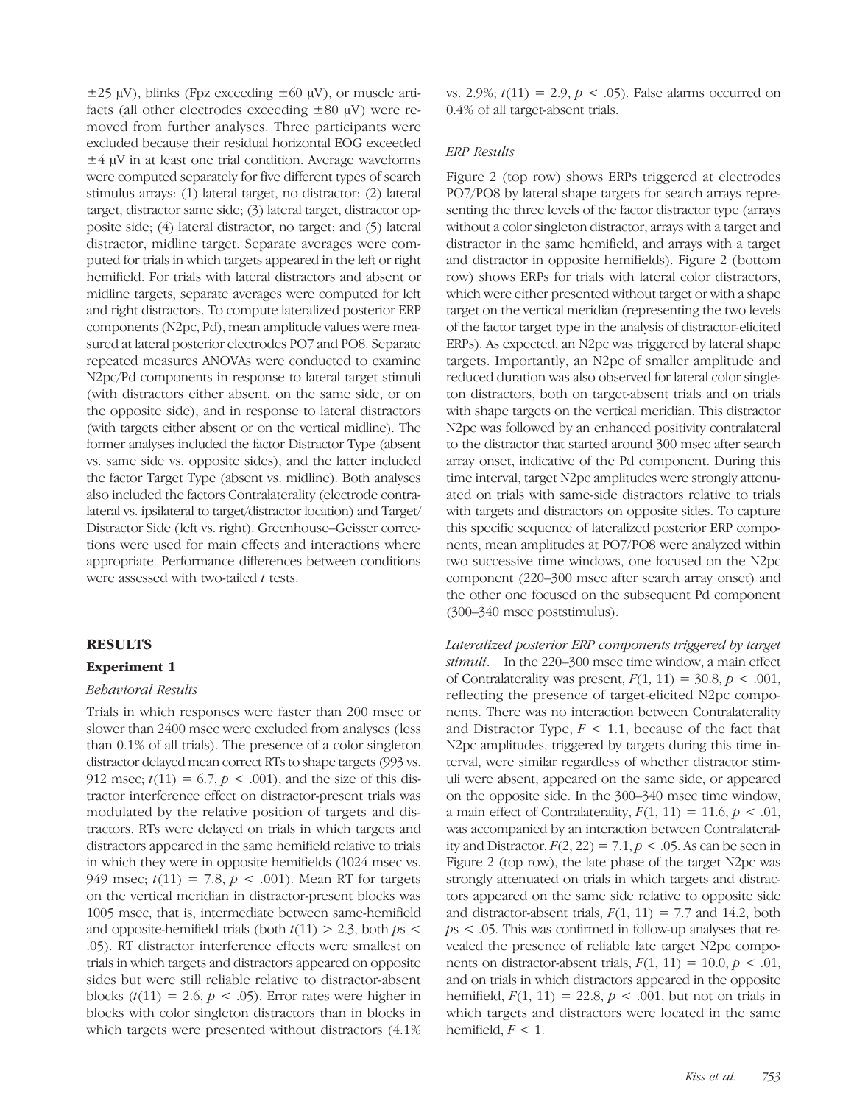$\pm 25 \mu V$ ), blinks (Fpz exceeding  $\pm 60 \mu V$ ), or muscle artifacts (all other electrodes exceeding  $\pm 80$   $\mu$ V) were removed from further analyses. Three participants were excluded because their residual horizontal EOG exceeded  $\pm$ 4 μV in at least one trial condition. Average waveforms were computed separately for five different types of search stimulus arrays: (1) lateral target, no distractor; (2) lateral target, distractor same side; (3) lateral target, distractor opposite side; (4) lateral distractor, no target; and (5) lateral distractor, midline target. Separate averages were computed for trials in which targets appeared in the left or right hemifield. For trials with lateral distractors and absent or midline targets, separate averages were computed for left and right distractors. To compute lateralized posterior ERP components (N2pc, Pd), mean amplitude values were measured at lateral posterior electrodes PO7 and PO8. Separate repeated measures ANOVAs were conducted to examine N2pc/Pd components in response to lateral target stimuli (with distractors either absent, on the same side, or on the opposite side), and in response to lateral distractors (with targets either absent or on the vertical midline). The former analyses included the factor Distractor Type (absent vs. same side vs. opposite sides), and the latter included the factor Target Type (absent vs. midline). Both analyses also included the factors Contralaterality (electrode contralateral vs. ipsilateral to target/distractor location) and Target/ Distractor Side (left vs. right). Greenhouse–Geisser corrections were used for main effects and interactions where appropriate. Performance differences between conditions were assessed with two-tailed t tests.

## **RESULTS**

#### Experiment 1

## Behavioral Results

Trials in which responses were faster than 200 msec or slower than 2400 msec were excluded from analyses (less than 0.1% of all trials). The presence of a color singleton distractor delayed mean correct RTs to shape targets (993 vs. 912 msec;  $t(11) = 6.7, p < .001$ , and the size of this distractor interference effect on distractor-present trials was modulated by the relative position of targets and distractors. RTs were delayed on trials in which targets and distractors appeared in the same hemifield relative to trials in which they were in opposite hemifields (1024 msec vs. 949 msec;  $t(11) = 7.8, p < .001$ ). Mean RT for targets on the vertical meridian in distractor-present blocks was 1005 msec, that is, intermediate between same-hemifield and opposite-hemifield trials (both  $t(11) > 2.3$ , both  $ps <$ .05). RT distractor interference effects were smallest on trials in which targets and distractors appeared on opposite sides but were still reliable relative to distractor-absent blocks  $(t(11) = 2.6, p < .05)$ . Error rates were higher in blocks with color singleton distractors than in blocks in which targets were presented without distractors (4.1%

vs. 2.9%;  $t(11) = 2.9, p < .05$ ). False alarms occurred on 0.4% of all target-absent trials.

## ERP Results

Figure 2 (top row) shows ERPs triggered at electrodes PO7/PO8 by lateral shape targets for search arrays representing the three levels of the factor distractor type (arrays without a color singleton distractor, arrays with a target and distractor in the same hemifield, and arrays with a target and distractor in opposite hemifields). Figure 2 (bottom row) shows ERPs for trials with lateral color distractors, which were either presented without target or with a shape target on the vertical meridian (representing the two levels of the factor target type in the analysis of distractor-elicited ERPs). As expected, an N2pc was triggered by lateral shape targets. Importantly, an N2pc of smaller amplitude and reduced duration was also observed for lateral color singleton distractors, both on target-absent trials and on trials with shape targets on the vertical meridian. This distractor N2pc was followed by an enhanced positivity contralateral to the distractor that started around 300 msec after search array onset, indicative of the Pd component. During this time interval, target N2pc amplitudes were strongly attenuated on trials with same-side distractors relative to trials with targets and distractors on opposite sides. To capture this specific sequence of lateralized posterior ERP components, mean amplitudes at PO7/PO8 were analyzed within two successive time windows, one focused on the N2pc component (220–300 msec after search array onset) and the other one focused on the subsequent Pd component (300–340 msec poststimulus).

Lateralized posterior ERP components triggered by target stimuli. In the 220–300 msec time window, a main effect of Contralaterality was present,  $F(1, 11) = 30.8, p < .001$ , reflecting the presence of target-elicited N2pc components. There was no interaction between Contralaterality and Distractor Type,  $F < 1.1$ , because of the fact that N2pc amplitudes, triggered by targets during this time interval, were similar regardless of whether distractor stimuli were absent, appeared on the same side, or appeared on the opposite side. In the 300–340 msec time window, a main effect of Contralaterality,  $F(1, 11) = 11.6, p < .01$ , was accompanied by an interaction between Contralaterality and Distractor,  $F(2, 22) = 7.1$ ,  $p < .05$ . As can be seen in Figure 2 (top row), the late phase of the target N2pc was strongly attenuated on trials in which targets and distractors appeared on the same side relative to opposite side and distractor-absent trials,  $F(1, 11) = 7.7$  and 14.2, both  $ps <$  0.05. This was confirmed in follow-up analyses that revealed the presence of reliable late target N2pc components on distractor-absent trials,  $F(1, 11) = 10.0, p < .01$ , and on trials in which distractors appeared in the opposite hemifield,  $F(1, 11) = 22.8$ ,  $p < .001$ , but not on trials in which targets and distractors were located in the same hemifield,  $F < 1$ .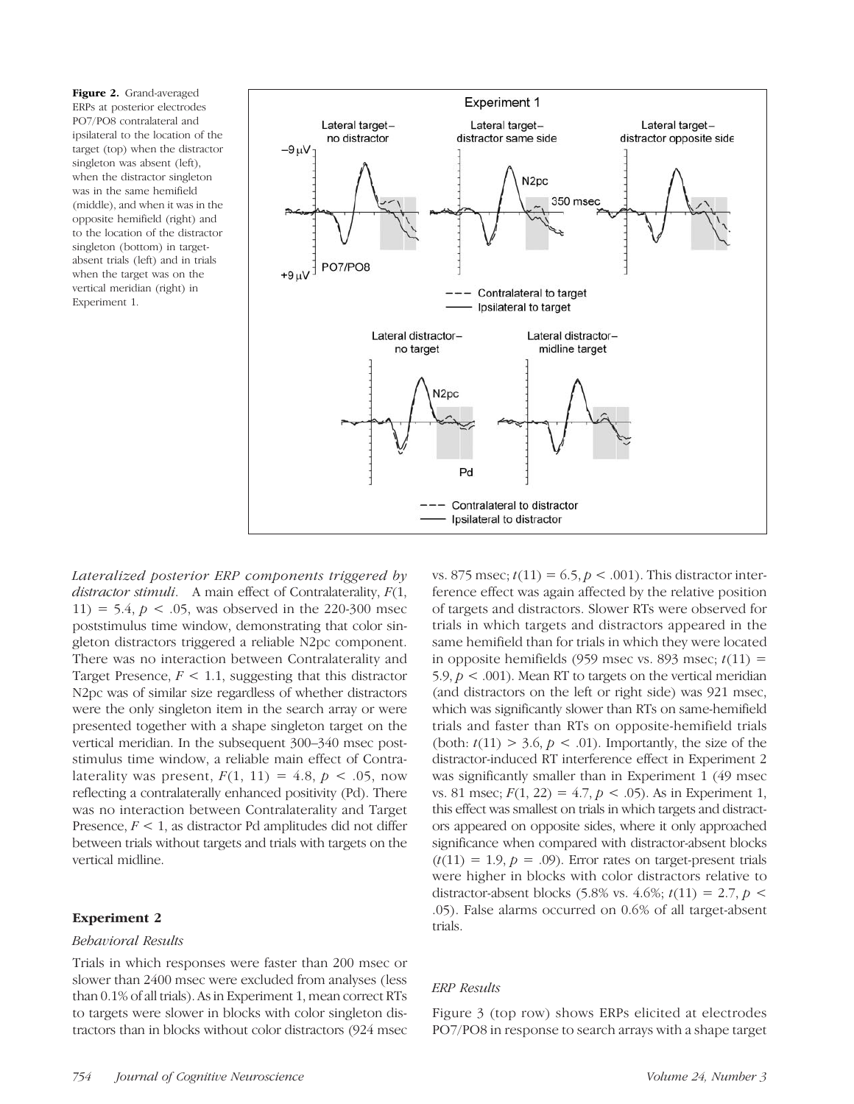Figure 2. Grand-averaged ERPs at posterior electrodes PO7/PO8 contralateral and ipsilateral to the location of the target (top) when the distractor singleton was absent (left), when the distractor singleton was in the same hemifield (middle), and when it was in the opposite hemifield (right) and to the location of the distractor singleton (bottom) in targetabsent trials (left) and in trials when the target was on the vertical meridian (right) in Experiment 1.



Lateralized posterior ERP components triggered by distractor stimuli. A main effect of Contralaterality,  $F(1, 1)$ 11) = 5.4,  $p < .05$ , was observed in the 220-300 msec poststimulus time window, demonstrating that color singleton distractors triggered a reliable N2pc component. There was no interaction between Contralaterality and Target Presence,  $F < 1.1$ , suggesting that this distractor N2pc was of similar size regardless of whether distractors were the only singleton item in the search array or were presented together with a shape singleton target on the vertical meridian. In the subsequent 300–340 msec poststimulus time window, a reliable main effect of Contralaterality was present,  $F(1, 11) = 4.8$ ,  $p < .05$ , now reflecting a contralaterally enhanced positivity (Pd). There was no interaction between Contralaterality and Target Presence,  $F < 1$ , as distractor Pd amplitudes did not differ between trials without targets and trials with targets on the vertical midline.

## Experiment 2

## Behavioral Results

Trials in which responses were faster than 200 msec or slower than 2400 msec were excluded from analyses (less than 0.1% of all trials). As in Experiment 1, mean correct RTs to targets were slower in blocks with color singleton distractors than in blocks without color distractors (924 msec

vs. 875 msec;  $t(11) = 6.5$ ,  $p < .001$ ). This distractor interference effect was again affected by the relative position of targets and distractors. Slower RTs were observed for trials in which targets and distractors appeared in the same hemifield than for trials in which they were located in opposite hemifields (959 msec vs. 893 msec;  $t(11) =$ 5.9,  $p < .001$ ). Mean RT to targets on the vertical meridian (and distractors on the left or right side) was 921 msec, which was significantly slower than RTs on same-hemifield trials and faster than RTs on opposite-hemifield trials (both:  $t(11) > 3.6$ ,  $p < .01$ ). Importantly, the size of the distractor-induced RT interference effect in Experiment 2 was significantly smaller than in Experiment 1 (49 msec vs. 81 msec;  $F(1, 22) = 4.7, p < .05$ . As in Experiment 1, this effect was smallest on trials in which targets and distractors appeared on opposite sides, where it only approached significance when compared with distractor-absent blocks  $(t(11) = 1.9, p = .09)$ . Error rates on target-present trials were higher in blocks with color distractors relative to distractor-absent blocks (5.8% vs. 4.6%;  $t(11) = 2.7, p <$ .05). False alarms occurred on 0.6% of all target-absent trials.

# ERP Results

Figure 3 (top row) shows ERPs elicited at electrodes PO7/PO8 in response to search arrays with a shape target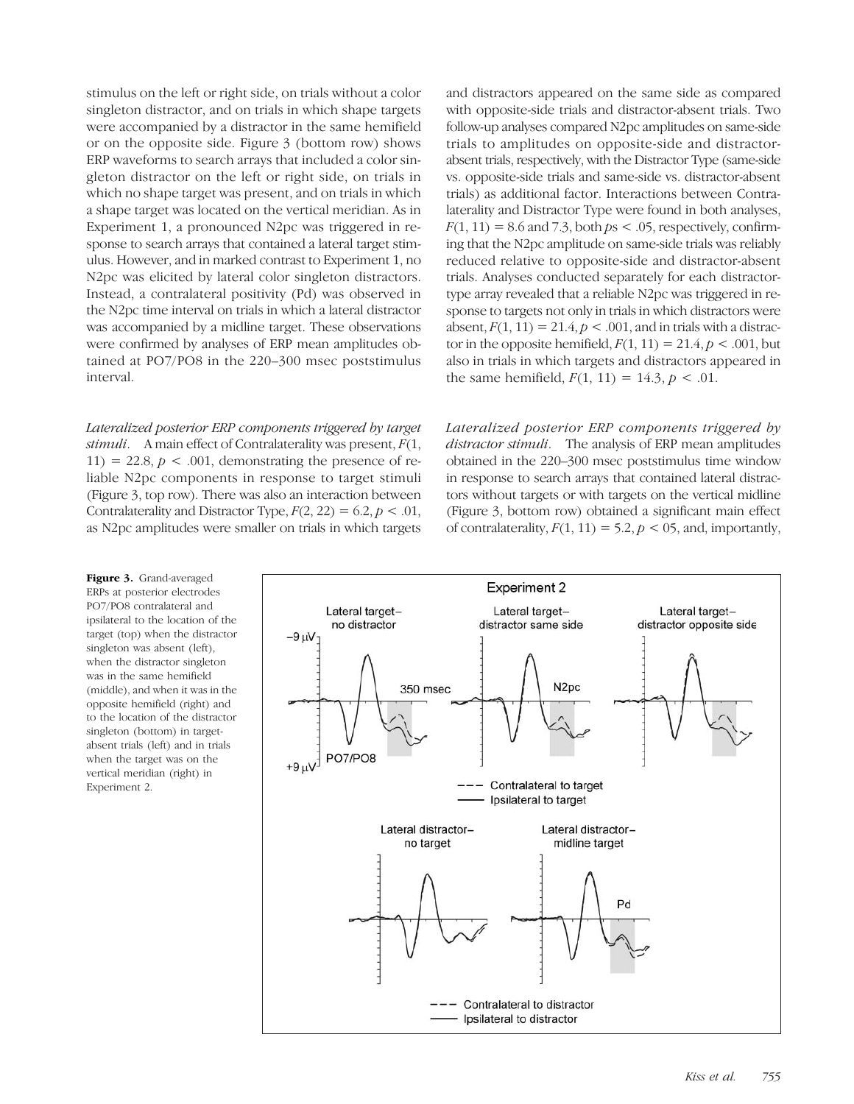stimulus on the left or right side, on trials without a color singleton distractor, and on trials in which shape targets were accompanied by a distractor in the same hemifield or on the opposite side. Figure 3 (bottom row) shows ERP waveforms to search arrays that included a color singleton distractor on the left or right side, on trials in which no shape target was present, and on trials in which a shape target was located on the vertical meridian. As in Experiment 1, a pronounced N2pc was triggered in response to search arrays that contained a lateral target stimulus. However, and in marked contrast to Experiment 1, no N2pc was elicited by lateral color singleton distractors. Instead, a contralateral positivity (Pd) was observed in the N2pc time interval on trials in which a lateral distractor was accompanied by a midline target. These observations were confirmed by analyses of ERP mean amplitudes obtained at PO7/PO8 in the 220–300 msec poststimulus interval.

Lateralized posterior ERP components triggered by target stimuli. A main effect of Contralaterality was present,  $F(1,$  $11) = 22.8, p < .001$ , demonstrating the presence of reliable N2pc components in response to target stimuli (Figure 3, top row). There was also an interaction between Contralaterality and Distractor Type,  $F(2, 22) = 6.2$ ,  $p < .01$ , as N2pc amplitudes were smaller on trials in which targets

and distractors appeared on the same side as compared with opposite-side trials and distractor-absent trials. Two follow-up analyses compared N2pc amplitudes on same-side trials to amplitudes on opposite-side and distractorabsent trials, respectively, with the Distractor Type (same-side vs. opposite-side trials and same-side vs. distractor-absent trials) as additional factor. Interactions between Contralaterality and Distractor Type were found in both analyses,  $F(1, 11) = 8.6$  and 7.3, both  $ps < .05$ , respectively, confirming that the N2pc amplitude on same-side trials was reliably reduced relative to opposite-side and distractor-absent trials. Analyses conducted separately for each distractortype array revealed that a reliable N2pc was triggered in response to targets not only in trials in which distractors were absent,  $F(1, 11) = 21.4, p < .001$ , and in trials with a distractor in the opposite hemifield,  $F(1, 11) = 21.4, p < .001$ , but also in trials in which targets and distractors appeared in the same hemifield,  $F(1, 11) = 14.3, p < .01$ .

Lateralized posterior ERP components triggered by distractor stimuli. The analysis of ERP mean amplitudes obtained in the 220–300 msec poststimulus time window in response to search arrays that contained lateral distractors without targets or with targets on the vertical midline (Figure 3, bottom row) obtained a significant main effect of contralaterality,  $F(1, 11) = 5.2, p < 05$ , and, importantly,

Figure 3. Grand-averaged ERPs at posterior electrodes PO7/PO8 contralateral and ipsilateral to the location of the target (top) when the distractor singleton was absent (left), when the distractor singleton was in the same hemifield (middle), and when it was in the opposite hemifield (right) and to the location of the distractor singleton (bottom) in targetabsent trials (left) and in trials when the target was on the vertical meridian (right) in Experiment 2.

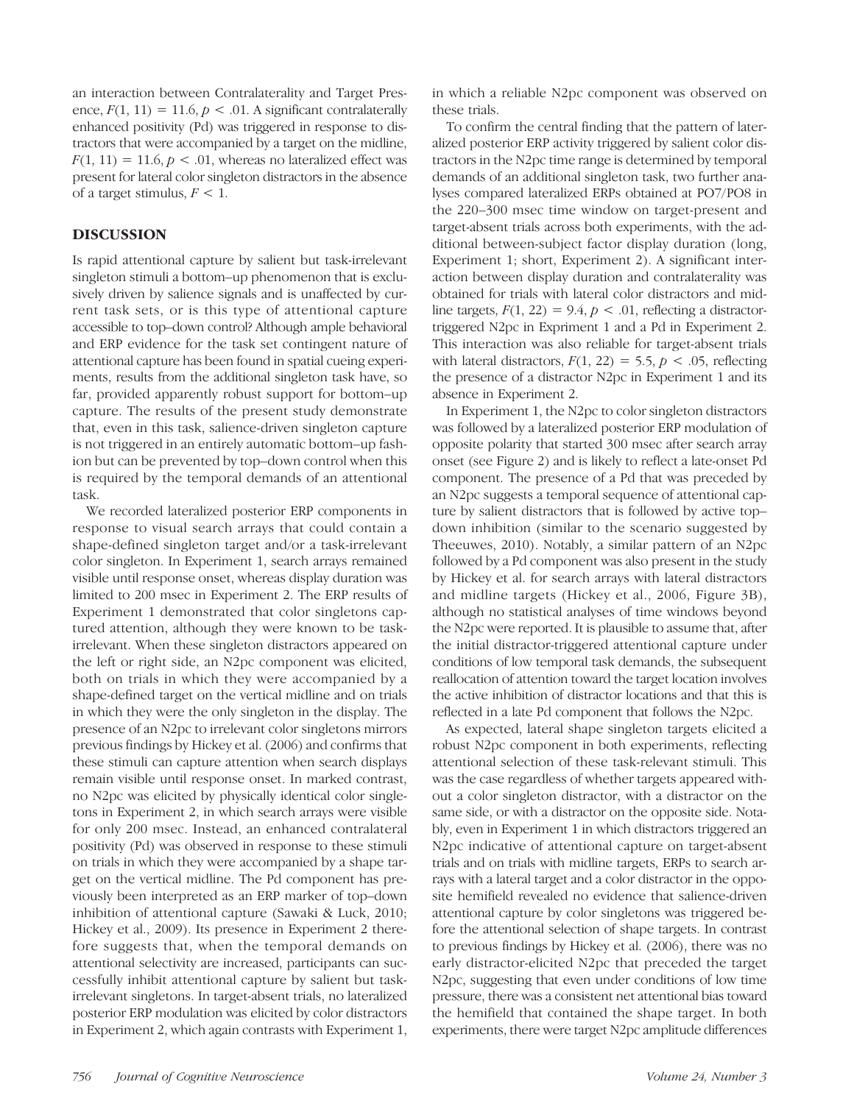an interaction between Contralaterality and Target Presence,  $F(1, 11) = 11.6$ ,  $p < .01$ . A significant contralaterally enhanced positivity (Pd) was triggered in response to distractors that were accompanied by a target on the midline,  $F(1, 11) = 11.6, p < .01$ , whereas no lateralized effect was present for lateral color singleton distractors in the absence of a target stimulus,  $F < 1$ .

## DISCUSSION

Is rapid attentional capture by salient but task-irrelevant singleton stimuli a bottom–up phenomenon that is exclusively driven by salience signals and is unaffected by current task sets, or is this type of attentional capture accessible to top–down control? Although ample behavioral and ERP evidence for the task set contingent nature of attentional capture has been found in spatial cueing experiments, results from the additional singleton task have, so far, provided apparently robust support for bottom–up capture. The results of the present study demonstrate that, even in this task, salience-driven singleton capture is not triggered in an entirely automatic bottom–up fashion but can be prevented by top–down control when this is required by the temporal demands of an attentional task.

We recorded lateralized posterior ERP components in response to visual search arrays that could contain a shape-defined singleton target and/or a task-irrelevant color singleton. In Experiment 1, search arrays remained visible until response onset, whereas display duration was limited to 200 msec in Experiment 2. The ERP results of Experiment 1 demonstrated that color singletons captured attention, although they were known to be taskirrelevant. When these singleton distractors appeared on the left or right side, an N2pc component was elicited, both on trials in which they were accompanied by a shape-defined target on the vertical midline and on trials in which they were the only singleton in the display. The presence of an N2pc to irrelevant color singletons mirrors previous findings by Hickey et al. (2006) and confirms that these stimuli can capture attention when search displays remain visible until response onset. In marked contrast, no N2pc was elicited by physically identical color singletons in Experiment 2, in which search arrays were visible for only 200 msec. Instead, an enhanced contralateral positivity (Pd) was observed in response to these stimuli on trials in which they were accompanied by a shape target on the vertical midline. The Pd component has previously been interpreted as an ERP marker of top–down inhibition of attentional capture (Sawaki & Luck, 2010; Hickey et al., 2009). Its presence in Experiment 2 therefore suggests that, when the temporal demands on attentional selectivity are increased, participants can successfully inhibit attentional capture by salient but taskirrelevant singletons. In target-absent trials, no lateralized posterior ERP modulation was elicited by color distractors in Experiment 2, which again contrasts with Experiment 1, in which a reliable N2pc component was observed on these trials.

To confirm the central finding that the pattern of lateralized posterior ERP activity triggered by salient color distractors in the N2pc time range is determined by temporal demands of an additional singleton task, two further analyses compared lateralized ERPs obtained at PO7/PO8 in the 220–300 msec time window on target-present and target-absent trials across both experiments, with the additional between-subject factor display duration (long, Experiment 1; short, Experiment 2). A significant interaction between display duration and contralaterality was obtained for trials with lateral color distractors and midline targets,  $F(1, 22) = 9.4$ ,  $p < .01$ , reflecting a distractortriggered N2pc in Expriment 1 and a Pd in Experiment 2. This interaction was also reliable for target-absent trials with lateral distractors,  $F(1, 22) = 5.5$ ,  $p < .05$ , reflecting the presence of a distractor N2pc in Experiment 1 and its absence in Experiment 2.

In Experiment 1, the N2pc to color singleton distractors was followed by a lateralized posterior ERP modulation of opposite polarity that started 300 msec after search array onset (see Figure 2) and is likely to reflect a late-onset Pd component. The presence of a Pd that was preceded by an N2pc suggests a temporal sequence of attentional capture by salient distractors that is followed by active top– down inhibition (similar to the scenario suggested by Theeuwes, 2010). Notably, a similar pattern of an N2pc followed by a Pd component was also present in the study by Hickey et al. for search arrays with lateral distractors and midline targets (Hickey et al., 2006, Figure 3B), although no statistical analyses of time windows beyond the N2pc were reported. It is plausible to assume that, after the initial distractor-triggered attentional capture under conditions of low temporal task demands, the subsequent reallocation of attention toward the target location involves the active inhibition of distractor locations and that this is reflected in a late Pd component that follows the N2pc.

As expected, lateral shape singleton targets elicited a robust N2pc component in both experiments, reflecting attentional selection of these task-relevant stimuli. This was the case regardless of whether targets appeared without a color singleton distractor, with a distractor on the same side, or with a distractor on the opposite side. Notably, even in Experiment 1 in which distractors triggered an N2pc indicative of attentional capture on target-absent trials and on trials with midline targets, ERPs to search arrays with a lateral target and a color distractor in the opposite hemifield revealed no evidence that salience-driven attentional capture by color singletons was triggered before the attentional selection of shape targets. In contrast to previous findings by Hickey et al. (2006), there was no early distractor-elicited N2pc that preceded the target N2pc, suggesting that even under conditions of low time pressure, there was a consistent net attentional bias toward the hemifield that contained the shape target. In both experiments, there were target N2pc amplitude differences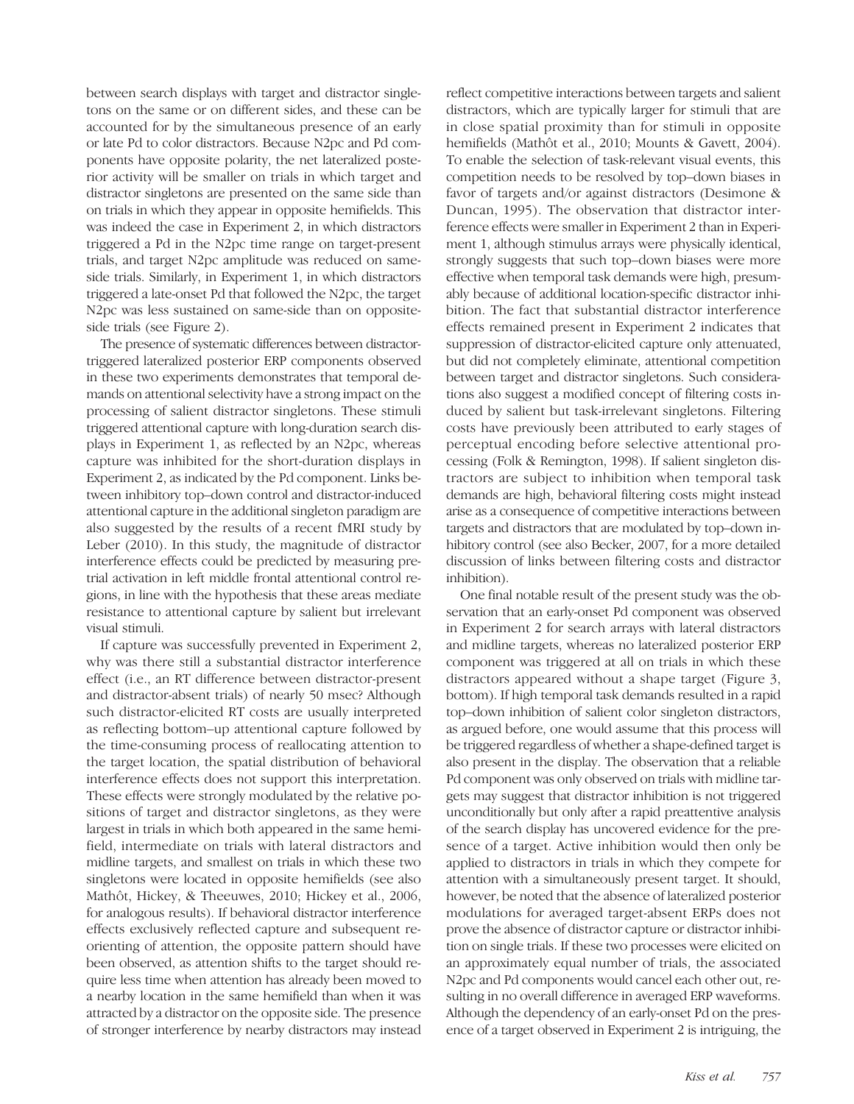between search displays with target and distractor singletons on the same or on different sides, and these can be accounted for by the simultaneous presence of an early or late Pd to color distractors. Because N2pc and Pd components have opposite polarity, the net lateralized posterior activity will be smaller on trials in which target and distractor singletons are presented on the same side than on trials in which they appear in opposite hemifields. This was indeed the case in Experiment 2, in which distractors triggered a Pd in the N2pc time range on target-present trials, and target N2pc amplitude was reduced on sameside trials. Similarly, in Experiment 1, in which distractors triggered a late-onset Pd that followed the N2pc, the target N2pc was less sustained on same-side than on oppositeside trials (see Figure 2).

The presence of systematic differences between distractortriggered lateralized posterior ERP components observed in these two experiments demonstrates that temporal demands on attentional selectivity have a strong impact on the processing of salient distractor singletons. These stimuli triggered attentional capture with long-duration search displays in Experiment 1, as reflected by an N2pc, whereas capture was inhibited for the short-duration displays in Experiment 2, as indicated by the Pd component. Links between inhibitory top–down control and distractor-induced attentional capture in the additional singleton paradigm are also suggested by the results of a recent fMRI study by Leber (2010). In this study, the magnitude of distractor interference effects could be predicted by measuring pretrial activation in left middle frontal attentional control regions, in line with the hypothesis that these areas mediate resistance to attentional capture by salient but irrelevant visual stimuli.

If capture was successfully prevented in Experiment 2, why was there still a substantial distractor interference effect (i.e., an RT difference between distractor-present and distractor-absent trials) of nearly 50 msec? Although such distractor-elicited RT costs are usually interpreted as reflecting bottom–up attentional capture followed by the time-consuming process of reallocating attention to the target location, the spatial distribution of behavioral interference effects does not support this interpretation. These effects were strongly modulated by the relative positions of target and distractor singletons, as they were largest in trials in which both appeared in the same hemifield, intermediate on trials with lateral distractors and midline targets, and smallest on trials in which these two singletons were located in opposite hemifields (see also Mathôt, Hickey, & Theeuwes, 2010; Hickey et al., 2006, for analogous results). If behavioral distractor interference effects exclusively reflected capture and subsequent reorienting of attention, the opposite pattern should have been observed, as attention shifts to the target should require less time when attention has already been moved to a nearby location in the same hemifield than when it was attracted by a distractor on the opposite side. The presence of stronger interference by nearby distractors may instead distractors, which are typically larger for stimuli that are in close spatial proximity than for stimuli in opposite hemifields (Mathôt et al., 2010; Mounts & Gavett, 2004). To enable the selection of task-relevant visual events, this competition needs to be resolved by top–down biases in favor of targets and/or against distractors (Desimone & Duncan, 1995). The observation that distractor interference effects were smaller in Experiment 2 than in Experiment 1, although stimulus arrays were physically identical, strongly suggests that such top–down biases were more effective when temporal task demands were high, presumably because of additional location-specific distractor inhibition. The fact that substantial distractor interference effects remained present in Experiment 2 indicates that suppression of distractor-elicited capture only attenuated, but did not completely eliminate, attentional competition between target and distractor singletons. Such considerations also suggest a modified concept of filtering costs induced by salient but task-irrelevant singletons. Filtering costs have previously been attributed to early stages of perceptual encoding before selective attentional processing (Folk & Remington, 1998). If salient singleton distractors are subject to inhibition when temporal task demands are high, behavioral filtering costs might instead arise as a consequence of competitive interactions between targets and distractors that are modulated by top–down inhibitory control (see also Becker, 2007, for a more detailed discussion of links between filtering costs and distractor inhibition).

reflect competitive interactions between targets and salient

One final notable result of the present study was the observation that an early-onset Pd component was observed in Experiment 2 for search arrays with lateral distractors and midline targets, whereas no lateralized posterior ERP component was triggered at all on trials in which these distractors appeared without a shape target (Figure 3, bottom). If high temporal task demands resulted in a rapid top–down inhibition of salient color singleton distractors, as argued before, one would assume that this process will be triggered regardless of whether a shape-defined target is also present in the display. The observation that a reliable Pd component was only observed on trials with midline targets may suggest that distractor inhibition is not triggered unconditionally but only after a rapid preattentive analysis of the search display has uncovered evidence for the presence of a target. Active inhibition would then only be applied to distractors in trials in which they compete for attention with a simultaneously present target. It should, however, be noted that the absence of lateralized posterior modulations for averaged target-absent ERPs does not prove the absence of distractor capture or distractor inhibition on single trials. If these two processes were elicited on an approximately equal number of trials, the associated N2pc and Pd components would cancel each other out, resulting in no overall difference in averaged ERP waveforms. Although the dependency of an early-onset Pd on the presence of a target observed in Experiment 2 is intriguing, the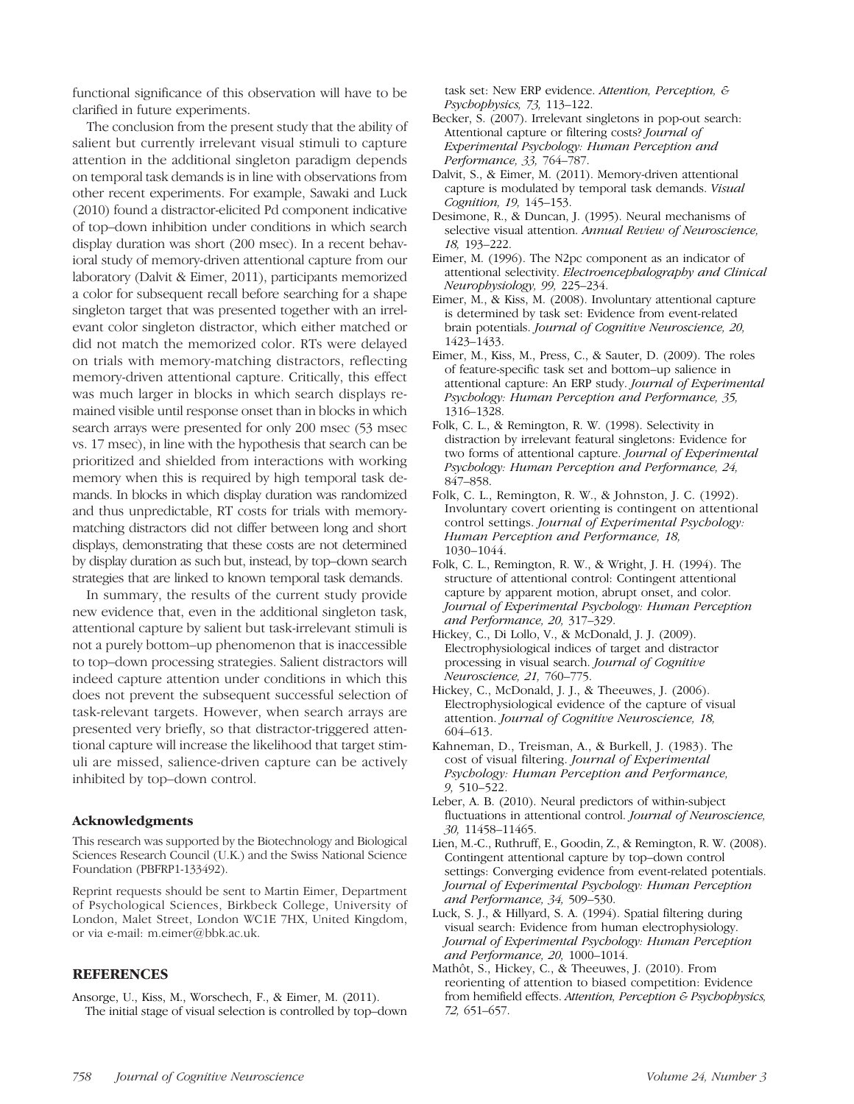functional significance of this observation will have to be clarified in future experiments.

The conclusion from the present study that the ability of salient but currently irrelevant visual stimuli to capture attention in the additional singleton paradigm depends on temporal task demands is in line with observations from other recent experiments. For example, Sawaki and Luck (2010) found a distractor-elicited Pd component indicative of top–down inhibition under conditions in which search display duration was short (200 msec). In a recent behavioral study of memory-driven attentional capture from our laboratory (Dalvit & Eimer, 2011), participants memorized a color for subsequent recall before searching for a shape singleton target that was presented together with an irrelevant color singleton distractor, which either matched or did not match the memorized color. RTs were delayed on trials with memory-matching distractors, reflecting memory-driven attentional capture. Critically, this effect was much larger in blocks in which search displays remained visible until response onset than in blocks in which search arrays were presented for only 200 msec (53 msec vs. 17 msec), in line with the hypothesis that search can be prioritized and shielded from interactions with working memory when this is required by high temporal task demands. In blocks in which display duration was randomized and thus unpredictable, RT costs for trials with memorymatching distractors did not differ between long and short displays, demonstrating that these costs are not determined by display duration as such but, instead, by top–down search strategies that are linked to known temporal task demands.

In summary, the results of the current study provide new evidence that, even in the additional singleton task, attentional capture by salient but task-irrelevant stimuli is not a purely bottom–up phenomenon that is inaccessible to top–down processing strategies. Salient distractors will indeed capture attention under conditions in which this does not prevent the subsequent successful selection of task-relevant targets. However, when search arrays are presented very briefly, so that distractor-triggered attentional capture will increase the likelihood that target stimuli are missed, salience-driven capture can be actively inhibited by top–down control.

#### Acknowledgments

This research was supported by the Biotechnology and Biological Sciences Research Council (U.K.) and the Swiss National Science Foundation (PBFRP1-133492).

Reprint requests should be sent to Martin Eimer, Department of Psychological Sciences, Birkbeck College, University of London, Malet Street, London WC1E 7HX, United Kingdom, or via e-mail: m.eimer@bbk.ac.uk.

#### REFERENCES

Ansorge, U., Kiss, M., Worschech, F., & Eimer, M. (2011). The initial stage of visual selection is controlled by top–down task set: New ERP evidence. Attention, Perception, & Psychophysics, 73, 113–122.

- Becker, S. (2007). Irrelevant singletons in pop-out search: Attentional capture or filtering costs? Journal of Experimental Psychology: Human Perception and Performance, 33, 764–787.
- Dalvit, S., & Eimer, M. (2011). Memory-driven attentional capture is modulated by temporal task demands. Visual Cognition, 19, 145–153.
- Desimone, R., & Duncan, J. (1995). Neural mechanisms of selective visual attention. Annual Review of Neuroscience, 18, 193–222.
- Eimer, M. (1996). The N2pc component as an indicator of attentional selectivity. Electroencephalography and Clinical Neurophysiology, 99, 225–234.
- Eimer, M., & Kiss, M. (2008). Involuntary attentional capture is determined by task set: Evidence from event-related brain potentials. Journal of Cognitive Neuroscience, 20, 1423–1433.
- Eimer, M., Kiss, M., Press, C., & Sauter, D. (2009). The roles of feature-specific task set and bottom–up salience in attentional capture: An ERP study. Journal of Experimental Psychology: Human Perception and Performance, 35, 1316–1328.
- Folk, C. L., & Remington, R. W. (1998). Selectivity in distraction by irrelevant featural singletons: Evidence for two forms of attentional capture. Journal of Experimental Psychology: Human Perception and Performance, 24, 847–858.
- Folk, C. L., Remington, R. W., & Johnston, J. C. (1992). Involuntary covert orienting is contingent on attentional control settings. Journal of Experimental Psychology: Human Perception and Performance, 18, 1030–1044.
- Folk, C. L., Remington, R. W., & Wright, J. H. (1994). The structure of attentional control: Contingent attentional capture by apparent motion, abrupt onset, and color. Journal of Experimental Psychology: Human Perception and Performance, 20, 317–329.
- Hickey, C., Di Lollo, V., & McDonald, J. J. (2009). Electrophysiological indices of target and distractor processing in visual search. Journal of Cognitive Neuroscience, 21, 760–775.
- Hickey, C., McDonald, J. J., & Theeuwes, J. (2006). Electrophysiological evidence of the capture of visual attention. Journal of Cognitive Neuroscience, 18, 604–613.
- Kahneman, D., Treisman, A., & Burkell, J. (1983). The cost of visual filtering. Journal of Experimental Psychology: Human Perception and Performance, 9, 510–522.
- Leber, A. B. (2010). Neural predictors of within-subject fluctuations in attentional control. Journal of Neuroscience, 30, 11458–11465.
- Lien, M.-C., Ruthruff, E., Goodin, Z., & Remington, R. W. (2008). Contingent attentional capture by top–down control settings: Converging evidence from event-related potentials. Journal of Experimental Psychology: Human Perception and Performance, 34, 509–530.
- Luck, S. J., & Hillyard, S. A. (1994). Spatial filtering during visual search: Evidence from human electrophysiology. Journal of Experimental Psychology: Human Perception and Performance, 20, 1000–1014.
- Mathôt, S., Hickey, C., & Theeuwes, J. (2010). From reorienting of attention to biased competition: Evidence from hemifield effects. Attention, Perception & Psychophysics, 72, 651–657.